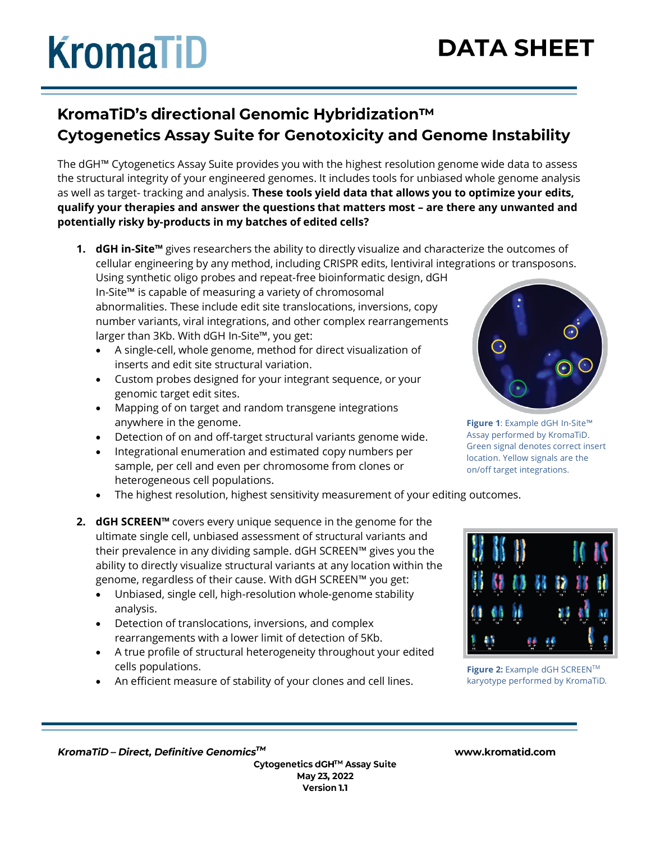# **KromaTiD**

## **DATA SHEET**

### KromaTiD's directional Genomic Hybridization™ **Cytogenetics Assay Suite for Genotoxicity and Genome Instability**

The dGH™ Cytogenetics Assay Suite provides you with the highest resolution genome wide data to assess the structural integrity of your engineered genomes. It includes tools for unbiased whole genome analysis as well as target- tracking and analysis. **These tools yield data that allows you to optimize your edits, qualify your therapies and answer the questions that matters most – are there any unwanted and potentially risky by-products in my batches of edited cells?**

**1. dGH in-Site™** gives researchers the ability to directly visualize and characterize the outcomes of cellular engineering by any method, including CRISPR edits, lentiviral integrations or transposons. Using synthetic oligo probes and repeat-free bioinformatic design, dGH

In-Site™ is capable of measuring a variety of chromosomal abnormalities. These include edit site translocations, inversions, copy number variants, viral integrations, and other complex rearrangements larger than 3Kb. With dGH In-Site™, you get:

- A single-cell, whole genome, method for direct visualization of inserts and edit site structural variation.
- Custom probes designed for your integrant sequence, or your genomic target edit sites.
- Mapping of on target and random transgene integrations anywhere in the genome.
- Detection of on and off-target structural variants genome wide.
- Integrational enumeration and estimated copy numbers per sample, per cell and even per chromosome from clones or heterogeneous cell populations.
- The highest resolution, highest sensitivity measurement of your editing outcomes.
- **2. dGH SCREEN™** covers every unique sequence in the genome for the ultimate single cell, unbiased assessment of structural variants and their prevalence in any dividing sample. dGH SCREEN™ gives you the ability to directly visualize structural variants at any location within the genome, regardless of their cause. With dGH SCREEN™ you get:
	- Unbiased, single cell, high-resolution whole-genome stability analysis.
	- Detection of translocations, inversions, and complex rearrangements with a lower limit of detection of 5Kb.
	- A true profile of structural heterogeneity throughout your edited cells populations.
	- An efficient measure of stability of your clones and cell lines.



**Figure 1**: Example dGH In-Site™ Assay performed by KromaTiD. Green signal denotes correct insert location. Yellow signals are the on/off target integrations.



**Figure 2:** Example dGH SCREENTM karyotype performed by KromaTiD.

KromaTiD-Direct, Definitive Genomics™

Cytogenetics dGH™ Assay Suite May 23, 2022 Version 1.1

#### www.kromatid.com